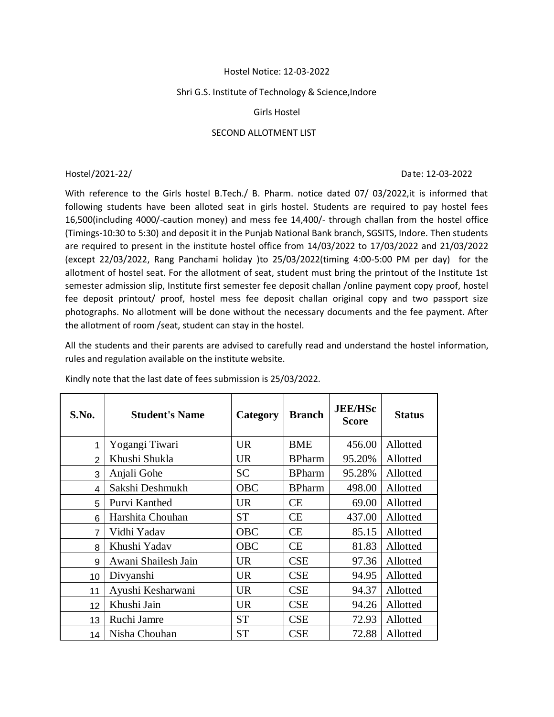## Hostel Notice: 12-03-2022

## Shri G.S. Institute of Technology & Science,Indore

## Girls Hostel

# SECOND ALLOTMENT LIST

#### Hostel/2021-22/ Date: 12-03-2022

With reference to the Girls hostel B.Tech./ B. Pharm. notice dated 07/ 03/2022,it is informed that following students have been alloted seat in girls hostel. Students are required to pay hostel fees 16,500(including 4000/-caution money) and mess fee 14,400/- through challan from the hostel office (Timings-10:30 to 5:30) and deposit it in the Punjab National Bank branch, SGSITS, Indore. Then students are required to present in the institute hostel office from 14/03/2022 to 17/03/2022 and 21/03/2022 (except 22/03/2022, Rang Panchami holiday )to 25/03/2022(timing 4:00-5:00 PM per day) for the allotment of hostel seat. For the allotment of seat, student must bring the printout of the Institute 1st semester admission slip, Institute first semester fee deposit challan /online payment copy proof, hostel fee deposit printout/ proof, hostel mess fee deposit challan original copy and two passport size photographs. No allotment will be done without the necessary documents and the fee payment. After the allotment of room /seat, student can stay in the hostel.

All the students and their parents are advised to carefully read and understand the hostel information, rules and regulation available on the institute website.

| S.No.          | <b>Student's Name</b> | Category   | <b>Branch</b> | <b>JEE/HSc</b><br><b>Score</b> | <b>Status</b> |
|----------------|-----------------------|------------|---------------|--------------------------------|---------------|
| 1              | Yogangi Tiwari        | <b>UR</b>  | <b>BME</b>    | 456.00                         | Allotted      |
| $\mathfrak{p}$ | Khushi Shukla         | <b>UR</b>  | <b>BPharm</b> | 95.20%                         | Allotted      |
| 3              | Anjali Gohe           | <b>SC</b>  | <b>BPharm</b> | 95.28%                         | Allotted      |
| 4              | Sakshi Deshmukh       | <b>OBC</b> | <b>BPharm</b> | 498.00                         | Allotted      |
| 5              | Purvi Kanthed         | <b>UR</b>  | <b>CE</b>     | 69.00                          | Allotted      |
| 6              | Harshita Chouhan      | <b>ST</b>  | <b>CE</b>     | 437.00                         | Allotted      |
| $\overline{7}$ | Vidhi Yadav           | <b>OBC</b> | CE            | 85.15                          | Allotted      |
| 8              | Khushi Yadav          | <b>OBC</b> | <b>CE</b>     | 81.83                          | Allotted      |
| 9              | Awani Shailesh Jain   | <b>UR</b>  | <b>CSE</b>    | 97.36                          | Allotted      |
| 10             | Divyanshi             | <b>UR</b>  | <b>CSE</b>    | 94.95                          | Allotted      |
| 11             | Ayushi Kesharwani     | <b>UR</b>  | <b>CSE</b>    | 94.37                          | Allotted      |
| 12             | Khushi Jain           | <b>UR</b>  | <b>CSE</b>    | 94.26                          | Allotted      |
| 13             | Ruchi Jamre           | <b>ST</b>  | <b>CSE</b>    | 72.93                          | Allotted      |
| 14             | Nisha Chouhan         | <b>ST</b>  | <b>CSE</b>    | 72.88                          | Allotted      |

Kindly note that the last date of fees submission is 25/03/2022.